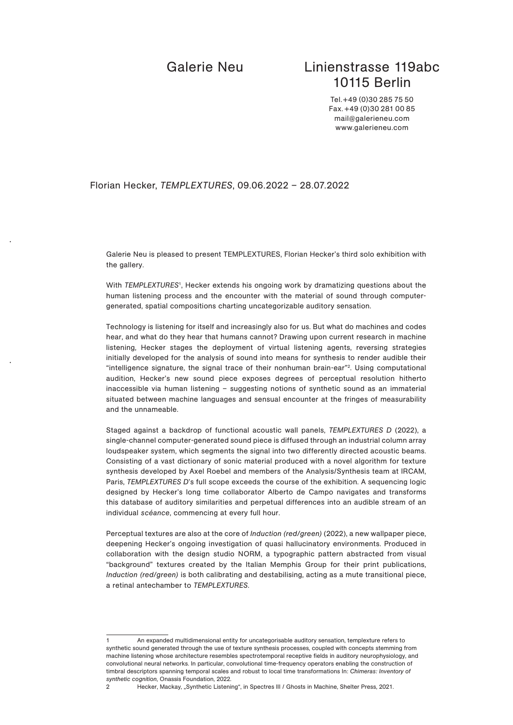# Galerie Neu Linienstrasse 119abc 10115 Berlin

Tel.+49 (0)30 285 75 50 Fax.+49 (0)30 281 00 85 mail@galerieneu.com www.galerieneu.com

### Florian Hecker, *TEMPLEXTURES*, 09.06.2022 – 28.07.2022

Galerie Neu is pleased to present TEMPLEXTURES, Florian Hecker's third solo exhibition with the gallery.

With *TEMPLEXTURES*1, Hecker extends his ongoing work by dramatizing questions about the human listening process and the encounter with the material of sound through computergenerated, spatial compositions charting uncategorizable auditory sensation.

Technology is listening for itself and increasingly also for us. But what do machines and codes hear, and what do they hear that humans cannot? Drawing upon current research in machine listening, Hecker stages the deployment of virtual listening agents, reversing strategies initially developed for the analysis of sound into means for synthesis to render audible their "intelligence signature, the signal trace of their nonhuman brain-ear"2. Using computational audition, Hecker's new sound piece exposes degrees of perceptual resolution hitherto inaccessible via human listening – suggesting notions of synthetic sound as an immaterial situated between machine languages and sensual encounter at the fringes of measurability and the unnameable.

Staged against a backdrop of functional acoustic wall panels, *TEMPLEXTURES D* (2022), a single-channel computer-generated sound piece is diffused through an industrial column array loudspeaker system, which segments the signal into two differently directed acoustic beams. Consisting of a vast dictionary of sonic material produced with a novel algorithm for texture synthesis developed by Axel Roebel and members of the Analysis/Synthesis team at IRCAM, Paris, *TEMPLEXTURES D*'s full scope exceeds the course of the exhibition. A sequencing logic designed by Hecker's long time collaborator Alberto de Campo navigates and transforms this database of auditory similarities and perpetual differences into an audible stream of an individual *scéance*, commencing at every full hour.

Perceptual textures are also at the core of *Induction (red/green)* (2022), a new wallpaper piece, deepening Hecker's ongoing investigation of quasi hallucinatory environments. Produced in collaboration with the design studio NORM, a typographic pattern abstracted from visual "background" textures created by the Italian Memphis Group for their print publications, *Induction (red/green)* is both calibrating and destabilising, acting as a mute transitional piece, a retinal antechamber to *TEMPLEXTURES*.

An expanded multidimensional entity for uncategorisable auditory sensation, templexture refers to synthetic sound generated through the use of texture synthesis processes, coupled with concepts stemming from machine listening whose architecture resembles spectrotemporal receptive fields in auditory neurophysiology, and convolutional neural networks. In particular, convolutional time-frequency operators enabling the construction of timbral descriptors spanning temporal scales and robust to local time transformations In: *Chimeras: Inventory of synthetic cognition*, Onassis Foundation, 2022.

<sup>2</sup> Hecker, Mackay, "Synthetic Listening", in Spectres III / Ghosts in Machine, Shelter Press, 2021.